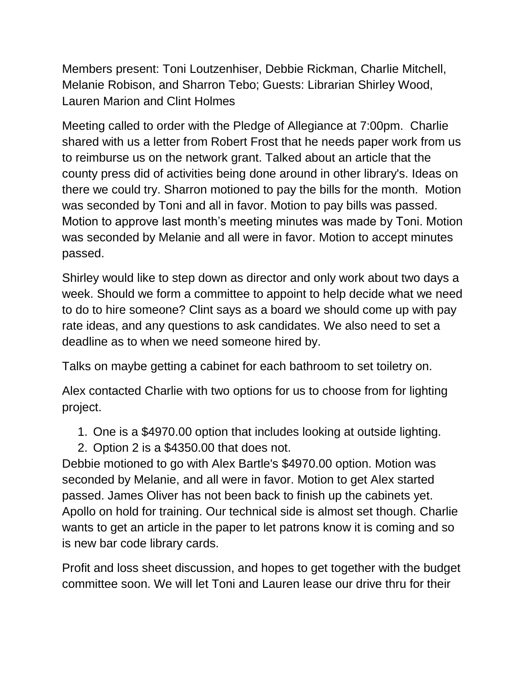Members present: Toni Loutzenhiser, Debbie Rickman, Charlie Mitchell, Melanie Robison, and Sharron Tebo; Guests: Librarian Shirley Wood, Lauren Marion and Clint Holmes

Meeting called to order with the Pledge of Allegiance at 7:00pm. Charlie shared with us a letter from Robert Frost that he needs paper work from us to reimburse us on the network grant. Talked about an article that the county press did of activities being done around in other library's. Ideas on there we could try. Sharron motioned to pay the bills for the month. Motion was seconded by Toni and all in favor. Motion to pay bills was passed. Motion to approve last month's meeting minutes was made by Toni. Motion was seconded by Melanie and all were in favor. Motion to accept minutes passed.

Shirley would like to step down as director and only work about two days a week. Should we form a committee to appoint to help decide what we need to do to hire someone? Clint says as a board we should come up with pay rate ideas, and any questions to ask candidates. We also need to set a deadline as to when we need someone hired by.

Talks on maybe getting a cabinet for each bathroom to set toiletry on.

Alex contacted Charlie with two options for us to choose from for lighting project.

- 1. One is a \$4970.00 option that includes looking at outside lighting.
- 2. Option 2 is a \$4350.00 that does not.

Debbie motioned to go with Alex Bartle's \$4970.00 option. Motion was seconded by Melanie, and all were in favor. Motion to get Alex started passed. James Oliver has not been back to finish up the cabinets yet. Apollo on hold for training. Our technical side is almost set though. Charlie wants to get an article in the paper to let patrons know it is coming and so is new bar code library cards.

Profit and loss sheet discussion, and hopes to get together with the budget committee soon. We will let Toni and Lauren lease our drive thru for their